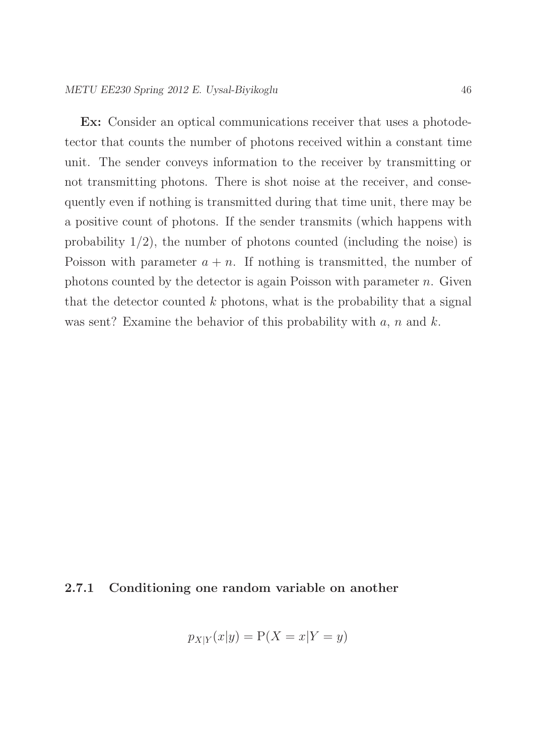Ex: Consider an optical communications receiver that uses a photodetector that counts the number of photons received within a constant time unit. The sender conveys information to the receiver by transmitting or not transmitting photons. There is shot noise at the receiver, and consequently even if nothing is transmitted during that time unit, there may be a positive count of photons. If the sender transmits (which happens with probability  $1/2$ , the number of photons counted (including the noise) is Poisson with parameter  $a + n$ . If nothing is transmitted, the number of photons counted by the detector is again Poisson with parameter  $n$ . Given that the detector counted  $k$  photons, what is the probability that a signal was sent? Examine the behavior of this probability with  $a, n$  and  $k$ .

## 2.7.1 Conditioning one random variable on another

$$
p_{X|Y}(x|y) = P(X = x|Y = y)
$$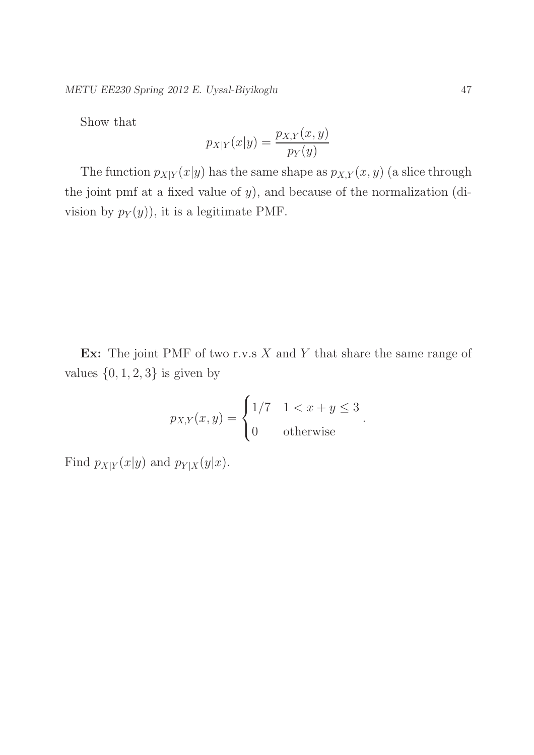METU EE230 Spring 2012 E. Uysal-Biyikoglu 47

Show that

$$
p_{X|Y}(x|y) = \frac{p_{X,Y}(x,y)}{p_Y(y)}
$$

The function  $p_{X|Y}(x|y)$  has the same shape as  $p_{X,Y}(x, y)$  (a slice through the joint pmf at a fixed value of  $y$ ), and because of the normalization (division by  $p_Y(y)$ , it is a legitimate PMF.

Ex: The joint PMF of two r.v.s  $X$  and  $Y$  that share the same range of values  $\{0, 1, 2, 3\}$  is given by

$$
p_{X,Y}(x,y) = \begin{cases} 1/7 & 1 < x + y \le 3 \\ 0 & \text{otherwise} \end{cases}.
$$

Find  $p_{X|Y}(x|y)$  and  $p_{Y|X}(y|x)$ .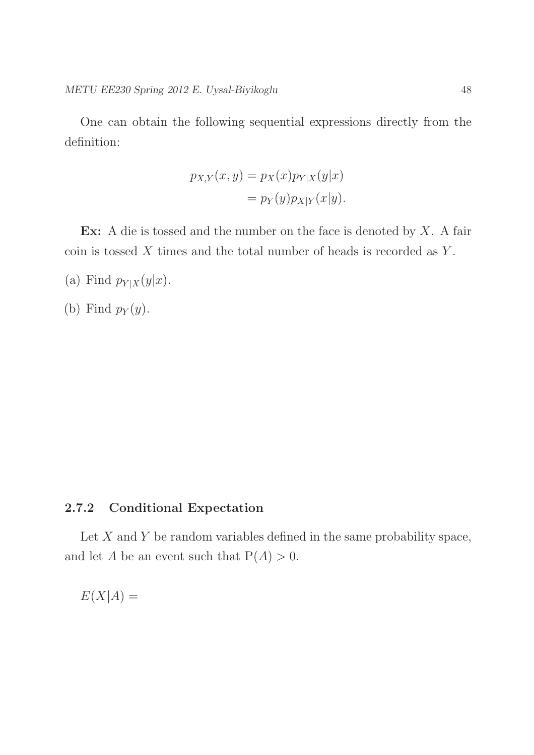One can obtain the following sequential expressions directly from the definition:

$$
p_{X,Y}(x,y) = p_X(x)p_{Y|X}(y|x)
$$

$$
= p_Y(y)p_{X|Y}(x|y).
$$

Ex: A die is tossed and the number on the face is denoted by  $X$ . A fair coin is tossed  $X$  times and the total number of heads is recorded as  $Y$ .

(a) Find  $p_{Y|X}(y|x)$ .

(b) Find  $p_Y(y)$ .

## 2.7.2 Conditional Expectation

Let  $X$  and  $Y$  be random variables defined in the same probability space, and let A be an event such that  $P(A) > 0$ .

 $E(X|A) =$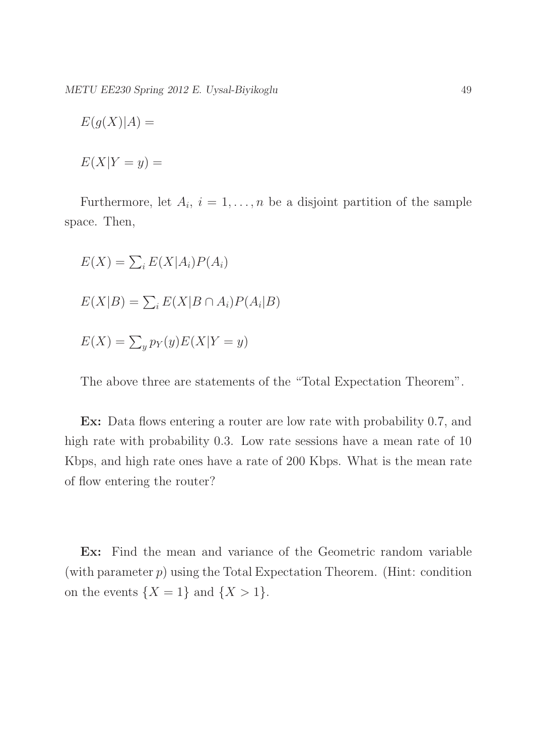METU EE230 Spring 2012 E. Uysal-Biyikoglu 49

$$
E(g(X)|A) =
$$

$$
E(X|Y=y) =
$$

Furthermore, let  $A_i$ ,  $i = 1, \ldots, n$  be a disjoint partition of the sample space. Then,

 $E(X) = \sum_i E(X|A_i)P(A_i)$  $E(X|B) = \sum_i E(X|B \cap A_i)P(A_i|B)$  $E(X) = \sum_{y} p_Y(y) E(X|Y=y)$ 

The above three are statements of the "Total Expectation Theorem".

Ex: Data flows entering a router are low rate with probability 0.7, and high rate with probability 0.3. Low rate sessions have a mean rate of 10 Kbps, and high rate ones have a rate of 200 Kbps. What is the mean rate of flow entering the router?

Ex: Find the mean and variance of the Geometric random variable (with parameter  $p$ ) using the Total Expectation Theorem. (Hint: condition on the events  $\{X = 1\}$  and  $\{X > 1\}$ .